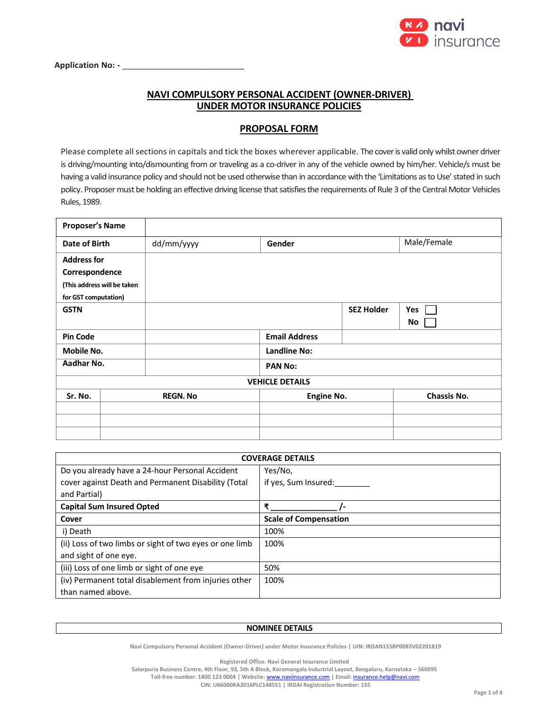

**Application No: -**

# **NAVI COMPULSORY PERSONAL ACCIDENT (OWNER-DRIVER) UNDER MOTOR INSURANCE POLICIES**

# **PROPOSAL FORM**

Please complete all sections in capitals and tick the boxes wherever applicable. Thecover is valid only whilst owner driver is driving/mounting into/dismounting from or traveling as a co-driver in any of the vehicle owned by him/her. Vehicle/s must be having a valid insurance policy and should not be used otherwise than in accordance with the 'Limitations as to Use' stated in such policy. Proposer must be holding an effective driving license that satisfies the requirements of Rule 3 of the Central Motor Vehicles Rules, 1989.

| <b>Proposer's Name</b>      |  |                 |                      |                   |                    |  |  |
|-----------------------------|--|-----------------|----------------------|-------------------|--------------------|--|--|
| Date of Birth               |  | dd/mm/yyyy      | Gender               |                   | Male/Female        |  |  |
| <b>Address for</b>          |  |                 |                      |                   |                    |  |  |
| Correspondence              |  |                 |                      |                   |                    |  |  |
| (This address will be taken |  |                 |                      |                   |                    |  |  |
| for GST computation)        |  |                 |                      |                   |                    |  |  |
| <b>GSTN</b>                 |  |                 |                      | <b>SEZ Holder</b> | <b>Yes</b>         |  |  |
|                             |  |                 |                      |                   | No                 |  |  |
| <b>Pin Code</b>             |  |                 | <b>Email Address</b> |                   |                    |  |  |
| Mobile No.                  |  |                 | <b>Landline No:</b>  |                   |                    |  |  |
| Aadhar No.                  |  |                 | <b>PAN No:</b>       |                   |                    |  |  |
| <b>VEHICLE DETAILS</b>      |  |                 |                      |                   |                    |  |  |
| Sr. No.                     |  | <b>REGN. No</b> | <b>Engine No.</b>    |                   | <b>Chassis No.</b> |  |  |
|                             |  |                 |                      |                   |                    |  |  |
|                             |  |                 |                      |                   |                    |  |  |
|                             |  |                 |                      |                   |                    |  |  |

| <b>COVERAGE DETAILS</b>                                 |                              |  |  |  |
|---------------------------------------------------------|------------------------------|--|--|--|
| Do you already have a 24-hour Personal Accident         | Yes/No,                      |  |  |  |
| cover against Death and Permanent Disability (Total     | if yes, Sum Insured:         |  |  |  |
| and Partial)                                            |                              |  |  |  |
| <b>Capital Sum Insured Opted</b>                        | Ŧ                            |  |  |  |
| Cover                                                   | <b>Scale of Compensation</b> |  |  |  |
| i) Death                                                | 100%                         |  |  |  |
| (ii) Loss of two limbs or sight of two eyes or one limb | 100%                         |  |  |  |
| and sight of one eye.                                   |                              |  |  |  |
| (iii) Loss of one limb or sight of one eye              | 50%                          |  |  |  |
| (iv) Permanent total disablement from injuries other    | 100%                         |  |  |  |
| than named above.                                       |                              |  |  |  |

### **NOMINEE DETAILS**

**Navi Compulsory Personal Accident (Owner-Driver) under Motor Insurance Policies | UIN: IRDAN155RP0083V02201819**

**Registered Office: Navi General Insurance Limited**

**Salarpuria Business Centre, 4th Floor, 93, 5th A Block, Koramangala Industrial Layout, Bengaluru, Karnataka – 560095**

**Toll-free number: 1800 123 0004 | Website:** [www.naviinsurance.com](http://www.naviinsurance.com/) **| Email:** [insurance.help@navi.com](mailto:insurance.help@navi.com)

**CIN: U66000KA2016PLC148551 | IRDAI Registration Number: 155**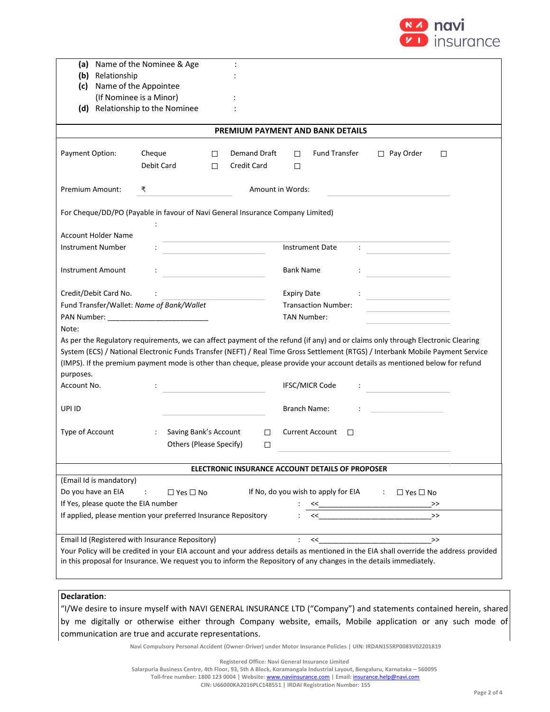

| (a)<br>Relationship<br>(b)<br>(c)                                                                                                                                                                                                                                                                                                                                                                          | Name of the Nominee & Age<br>Name of the Appointee<br>(If Nominee is a Minor)<br>(d) Relationship to the Nominee |                                                         |  |  |  |  |  |  |
|------------------------------------------------------------------------------------------------------------------------------------------------------------------------------------------------------------------------------------------------------------------------------------------------------------------------------------------------------------------------------------------------------------|------------------------------------------------------------------------------------------------------------------|---------------------------------------------------------|--|--|--|--|--|--|
| <b>PREMIUM PAYMENT AND BANK DETAILS</b>                                                                                                                                                                                                                                                                                                                                                                    |                                                                                                                  |                                                         |  |  |  |  |  |  |
| Payment Option:                                                                                                                                                                                                                                                                                                                                                                                            | Demand Draft<br>Cheque<br>$\Box$<br>Debit Card<br><b>Credit Card</b><br>П                                        | <b>Fund Transfer</b><br>$\Box$ Pay Order<br>П<br>□<br>□ |  |  |  |  |  |  |
| Premium Amount:                                                                                                                                                                                                                                                                                                                                                                                            | ₹                                                                                                                | Amount in Words:                                        |  |  |  |  |  |  |
| For Cheque/DD/PO (Payable in favour of Navi General Insurance Company Limited)<br>$\ddot{\cdot}$                                                                                                                                                                                                                                                                                                           |                                                                                                                  |                                                         |  |  |  |  |  |  |
| <b>Account Holder Name</b><br><b>Instrument Number</b>                                                                                                                                                                                                                                                                                                                                                     | <u> 1990 - Johann Barnett, f</u>                                                                                 | <b>Instrument Date</b>                                  |  |  |  |  |  |  |
| <b>Instrument Amount</b>                                                                                                                                                                                                                                                                                                                                                                                   |                                                                                                                  | <b>Bank Name</b>                                        |  |  |  |  |  |  |
| Credit/Debit Card No.<br><b>Expiry Date</b><br><u> 1980 - Johann Barbara, martxa a</u><br>Fund Transfer/Wallet: Name of Bank/Wallet<br><b>Transaction Number:</b><br><b>TAN Number:</b>                                                                                                                                                                                                                    |                                                                                                                  |                                                         |  |  |  |  |  |  |
| Note:<br>As per the Regulatory requirements, we can affect payment of the refund (if any) and or claims only through Electronic Clearing<br>System (ECS) / National Electronic Funds Transfer (NEFT) / Real Time Gross Settlement (RTGS) / Interbank Mobile Payment Service<br>(IMPS). If the premium payment mode is other than cheque, please provide your account details as mentioned below for refund |                                                                                                                  |                                                         |  |  |  |  |  |  |
| purposes.<br>Account No.                                                                                                                                                                                                                                                                                                                                                                                   |                                                                                                                  | IFSC/MICR Code                                          |  |  |  |  |  |  |
| UPI ID                                                                                                                                                                                                                                                                                                                                                                                                     |                                                                                                                  | Branch Name:                                            |  |  |  |  |  |  |
| Type of Account                                                                                                                                                                                                                                                                                                                                                                                            | Saving Bank's Account<br>$\ddot{\cdot}$<br>$\Box$<br>Others (Please Specify)<br>$\Box$                           | <b>Current Account</b><br>□                             |  |  |  |  |  |  |
| ELECTRONIC INSURANCE ACCOUNT DETAILS OF PROPOSER                                                                                                                                                                                                                                                                                                                                                           |                                                                                                                  |                                                         |  |  |  |  |  |  |
| (Email Id is mandatory)<br>Do you have an EIA<br>If No, do you wish to apply for EIA<br>$\Box$ Yes $\Box$ No<br>$\Box$ Yes $\Box$ No<br>÷<br>$\sim$<br>If Yes, please quote the EIA number<br>>><br>If applied, please mention your preferred Insurance Repository<br>$\gt$                                                                                                                                |                                                                                                                  |                                                         |  |  |  |  |  |  |
| Email Id (Registered with Insurance Repository)<br>$\ddot{\cdot}$<br><<<br>$\,>$<br>Your Policy will be credited in your EIA account and your address details as mentioned in the EIA shall override the address provided<br>in this proposal for Insurance. We request you to inform the Repository of any changes in the details immediately.                                                            |                                                                                                                  |                                                         |  |  |  |  |  |  |

# **Declaration**:

"I/We desire to insure myself with NAVI GENERAL INSURANCE LTD ("Company") and statements contained herein, shared by me digitally or otherwise either through Company website, emails, Mobile application or any such mode of communication are true and accurate representations.

**Navi Compulsory Personal Accident (Owner-Driver) under Motor Insurance Policies | UIN: IRDAN155RP0083V02201819**

**Registered Office: Navi General Insurance Limited**

**Salarpuria Business Centre, 4th Floor, 93, 5th A Block, Koramangala Industrial Layout, Bengaluru, Karnataka – 560095**

**Toll-free number: 1800 123 0004 | Website:** [www.naviinsurance.com](http://www.naviinsurance.com/) **| Email:** [insurance.help@navi.com](mailto:insurance.help@navi.com)

**CIN: U66000KA2016PLC148551 | IRDAI Registration Number: 155**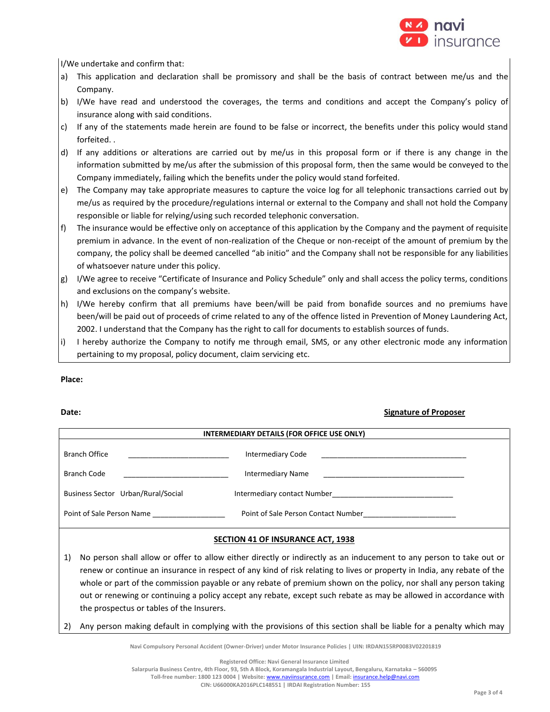

I/We undertake and confirm that:

- a) This application and declaration shall be promissory and shall be the basis of contract between me/us and the Company.
- b) I/We have read and understood the coverages, the terms and conditions and accept the Company's policy of insurance along with said conditions.
- c) If any of the statements made herein are found to be false or incorrect, the benefits under this policy would stand forfeited. .
- d) If any additions or alterations are carried out by me/us in this proposal form or if there is any change in the information submitted by me/us after the submission of this proposal form, then the same would be conveyed to the Company immediately, failing which the benefits under the policy would stand forfeited.
- e) The Company may take appropriate measures to capture the voice log for all telephonic transactions carried out by me/us as required by the procedure/regulations internal or external to the Company and shall not hold the Company responsible or liable for relying/using such recorded telephonic conversation.
- f) The insurance would be effective only on acceptance of this application by the Company and the payment of requisite premium in advance. In the event of non-realization of the Cheque or non-receipt of the amount of premium by the company, the policy shall be deemed cancelled "ab initio" and the Company shall not be responsible for any liabilities of whatsoever nature under this policy.
- g) I/We agree to receive "Certificate of Insurance and Policy Schedule" only and shall access the policy terms, conditions and exclusions on the company's website.
- h) I/We hereby confirm that all premiums have been/will be paid from bonafide sources and no premiums have been/will be paid out of proceeds of crime related to any of the offence listed in Prevention of Money Laundering Act, 2002. I understand that the Company has the right to call for documents to establish sources of funds.
- i) I hereby authorize the Company to notify me through email, SMS, or any other electronic mode any information pertaining to my proposal, policy document, claim servicing etc.

#### **Place:**

## **Date: Signature of Proposer**

| INTERMEDIARY DETAILS (FOR OFFICE USE ONLY) |                                                                                                                                                                                                                                |  |  |  |  |  |
|--------------------------------------------|--------------------------------------------------------------------------------------------------------------------------------------------------------------------------------------------------------------------------------|--|--|--|--|--|
| <b>Branch Office</b>                       | <b>Intermediary Code</b>                                                                                                                                                                                                       |  |  |  |  |  |
| <b>Branch Code</b>                         | Intermediary Name                                                                                                                                                                                                              |  |  |  |  |  |
| Business Sector Urban/Rural/Social         | Intermediary contact Number and the state of the state of the state of the state of the state of the state of the state of the state of the state of the state of the state of the state of the state of the state of the stat |  |  |  |  |  |
| Point of Sale Person Name                  | Point of Sale Person Contact Number                                                                                                                                                                                            |  |  |  |  |  |
| <b>SECTION 41 OF INSURANCE ACT, 1938</b>   |                                                                                                                                                                                                                                |  |  |  |  |  |

- 1) No person shall allow or offer to allow either directly or indirectly as an inducement to any person to take out or renew or continue an insurance in respect of any kind of risk relating to lives or property in India, any rebate of the whole or part of the commission payable or any rebate of premium shown on the policy, nor shall any person taking out or renewing or continuing a policy accept any rebate, except such rebate as may be allowed in accordance with the prospectus or tables of the Insurers.
- 2) Any person making default in complying with the provisions of this section shall be liable for a penalty which may

**Navi Compulsory Personal Accident (Owner-Driver) under Motor Insurance Policies | UIN: IRDAN155RP0083V02201819**

**Registered Office: Navi General Insurance Limited**

**Salarpuria Business Centre, 4th Floor, 93, 5th A Block, Koramangala Industrial Layout, Bengaluru, Karnataka – 560095**

**Toll-free number: 1800 123 0004 | Website:** [www.naviinsurance.com](http://www.naviinsurance.com/) **| Email:** [insurance.help@navi.com](mailto:insurance.help@navi.com)

**CIN: U66000KA2016PLC148551 | IRDAI Registration Number: 155**